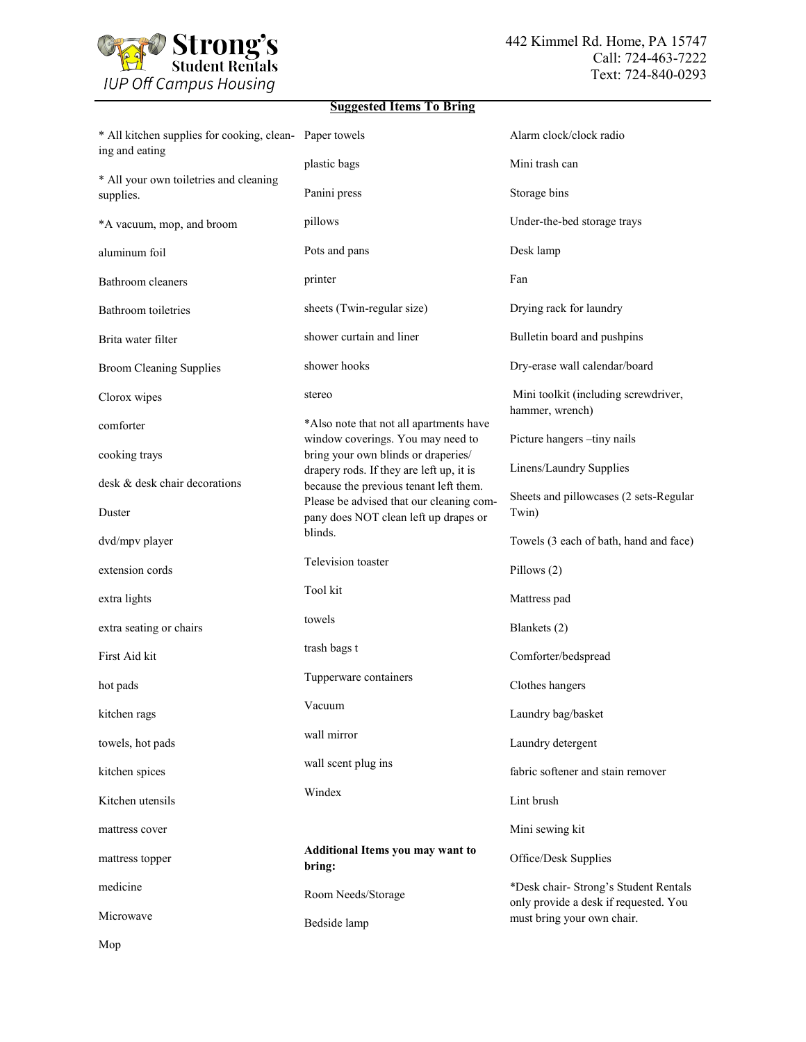

## **Suggested Items To Bring**

| * All kitchen supplies for cooking, clean- Paper towels<br>ing and eating |                                                                                   | Alarm clock/clock radio                                                        |
|---------------------------------------------------------------------------|-----------------------------------------------------------------------------------|--------------------------------------------------------------------------------|
| * All your own toiletries and cleaning                                    | plastic bags                                                                      | Mini trash can                                                                 |
| supplies.                                                                 | Panini press                                                                      | Storage bins                                                                   |
| *A vacuum, mop, and broom                                                 | pillows                                                                           | Under-the-bed storage trays                                                    |
| aluminum foil                                                             | Pots and pans                                                                     | Desk lamp                                                                      |
| Bathroom cleaners                                                         | printer                                                                           | Fan                                                                            |
| Bathroom toiletries                                                       | sheets (Twin-regular size)                                                        | Drying rack for laundry                                                        |
| Brita water filter                                                        | shower curtain and liner                                                          | Bulletin board and pushpins                                                    |
| <b>Broom Cleaning Supplies</b>                                            | shower hooks                                                                      | Dry-erase wall calendar/board                                                  |
| Clorox wipes                                                              | stereo                                                                            | Mini toolkit (including screwdriver,<br>hammer, wrench)                        |
| comforter                                                                 | *Also note that not all apartments have<br>window coverings. You may need to      | Picture hangers -tiny nails                                                    |
| cooking trays                                                             | bring your own blinds or draperies/<br>drapery rods. If they are left up, it is   | Linens/Laundry Supplies                                                        |
| desk & desk chair decorations                                             | because the previous tenant left them.                                            |                                                                                |
| Duster                                                                    | Please be advised that our cleaning com-<br>pany does NOT clean left up drapes or | Sheets and pillowcases (2 sets-Regular<br>Twin)                                |
| dvd/mpv player                                                            | blinds.                                                                           | Towels (3 each of bath, hand and face)                                         |
| extension cords                                                           | Television toaster                                                                | Pillows (2)                                                                    |
| extra lights                                                              | Tool kit                                                                          | Mattress pad                                                                   |
| extra seating or chairs                                                   | towels                                                                            | Blankets (2)                                                                   |
| First Aid kit                                                             | trash bags t                                                                      | Comforter/bedspread                                                            |
| hot pads                                                                  | Tupperware containers                                                             | Clothes hangers                                                                |
| kitchen rags                                                              | Vacuum                                                                            | Laundry bag/basket                                                             |
| towels, hot pads                                                          | wall mirror                                                                       | Laundry detergent                                                              |
| kitchen spices                                                            | wall scent plug ins                                                               | fabric softener and stain remover                                              |
| Kitchen utensils                                                          | Windex                                                                            | Lint brush                                                                     |
| mattress cover                                                            |                                                                                   | Mini sewing kit                                                                |
| mattress topper                                                           | Additional Items you may want to<br>bring:                                        | Office/Desk Supplies                                                           |
| medicine                                                                  | Room Needs/Storage                                                                | *Desk chair- Strong's Student Rentals<br>only provide a desk if requested. You |
| Microwave                                                                 | Bedside lamp                                                                      | must bring your own chair.                                                     |

Mop